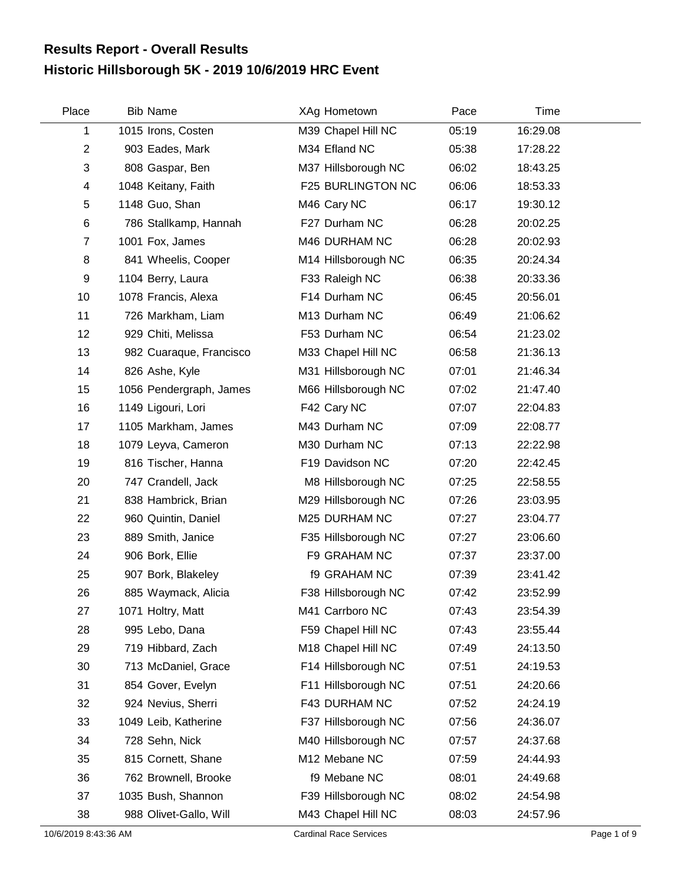## **Historic Hillsborough 5K - 2019 10/6/2019 HRC Event Results Report - Overall Results**

| Place          | <b>Bib Name</b>         | XAg Hometown        | Pace  | Time     |  |
|----------------|-------------------------|---------------------|-------|----------|--|
| 1              | 1015 Irons, Costen      | M39 Chapel Hill NC  | 05:19 | 16:29.08 |  |
| $\overline{2}$ | 903 Eades, Mark         | M34 Efland NC       | 05:38 | 17:28.22 |  |
| 3              | 808 Gaspar, Ben         | M37 Hillsborough NC | 06:02 | 18:43.25 |  |
| 4              | 1048 Keitany, Faith     | F25 BURLINGTON NC   | 06:06 | 18:53.33 |  |
| 5              | 1148 Guo, Shan          | M46 Cary NC         | 06:17 | 19:30.12 |  |
| $\,6$          | 786 Stallkamp, Hannah   | F27 Durham NC       | 06:28 | 20:02.25 |  |
| $\overline{7}$ | 1001 Fox, James         | M46 DURHAM NC       | 06:28 | 20:02.93 |  |
| 8              | 841 Wheelis, Cooper     | M14 Hillsborough NC | 06:35 | 20:24.34 |  |
| 9              | 1104 Berry, Laura       | F33 Raleigh NC      | 06:38 | 20:33.36 |  |
| 10             | 1078 Francis, Alexa     | F14 Durham NC       | 06:45 | 20:56.01 |  |
| 11             | 726 Markham, Liam       | M13 Durham NC       | 06:49 | 21:06.62 |  |
| 12             | 929 Chiti, Melissa      | F53 Durham NC       | 06:54 | 21:23.02 |  |
| 13             | 982 Cuaraque, Francisco | M33 Chapel Hill NC  | 06:58 | 21:36.13 |  |
| 14             | 826 Ashe, Kyle          | M31 Hillsborough NC | 07:01 | 21:46.34 |  |
| 15             | 1056 Pendergraph, James | M66 Hillsborough NC | 07:02 | 21:47.40 |  |
| 16             | 1149 Ligouri, Lori      | F42 Cary NC         | 07:07 | 22:04.83 |  |
| 17             | 1105 Markham, James     | M43 Durham NC       | 07:09 | 22:08.77 |  |
| 18             | 1079 Leyva, Cameron     | M30 Durham NC       | 07:13 | 22:22.98 |  |
| 19             | 816 Tischer, Hanna      | F19 Davidson NC     | 07:20 | 22:42.45 |  |
| 20             | 747 Crandell, Jack      | M8 Hillsborough NC  | 07:25 | 22:58.55 |  |
| 21             | 838 Hambrick, Brian     | M29 Hillsborough NC | 07:26 | 23:03.95 |  |
| 22             | 960 Quintin, Daniel     | M25 DURHAM NC       | 07:27 | 23:04.77 |  |
| 23             | 889 Smith, Janice       | F35 Hillsborough NC | 07:27 | 23:06.60 |  |
| 24             | 906 Bork, Ellie         | F9 GRAHAM NC        | 07:37 | 23:37.00 |  |
| 25             | 907 Bork, Blakeley      | <b>f9 GRAHAM NC</b> | 07:39 | 23:41.42 |  |
| 26             | 885 Waymack, Alicia     | F38 Hillsborough NC | 07:42 | 23:52.99 |  |
| 27             | 1071 Holtry, Matt       | M41 Carrboro NC     | 07:43 | 23:54.39 |  |
| 28             | 995 Lebo, Dana          | F59 Chapel Hill NC  | 07:43 | 23:55.44 |  |
| 29             | 719 Hibbard, Zach       | M18 Chapel Hill NC  | 07:49 | 24:13.50 |  |
| 30             | 713 McDaniel, Grace     | F14 Hillsborough NC | 07:51 | 24:19.53 |  |
| 31             | 854 Gover, Evelyn       | F11 Hillsborough NC | 07:51 | 24:20.66 |  |
| 32             | 924 Nevius, Sherri      | F43 DURHAM NC       | 07:52 | 24:24.19 |  |
| 33             | 1049 Leib, Katherine    | F37 Hillsborough NC | 07:56 | 24:36.07 |  |
| 34             | 728 Sehn, Nick          | M40 Hillsborough NC | 07:57 | 24:37.68 |  |
| 35             | 815 Cornett, Shane      | M12 Mebane NC       | 07:59 | 24:44.93 |  |
| 36             | 762 Brownell, Brooke    | f9 Mebane NC        | 08:01 | 24:49.68 |  |
| 37             | 1035 Bush, Shannon      | F39 Hillsborough NC | 08:02 | 24:54.98 |  |
| 38             | 988 Olivet-Gallo, Will  | M43 Chapel Hill NC  | 08:03 | 24:57.96 |  |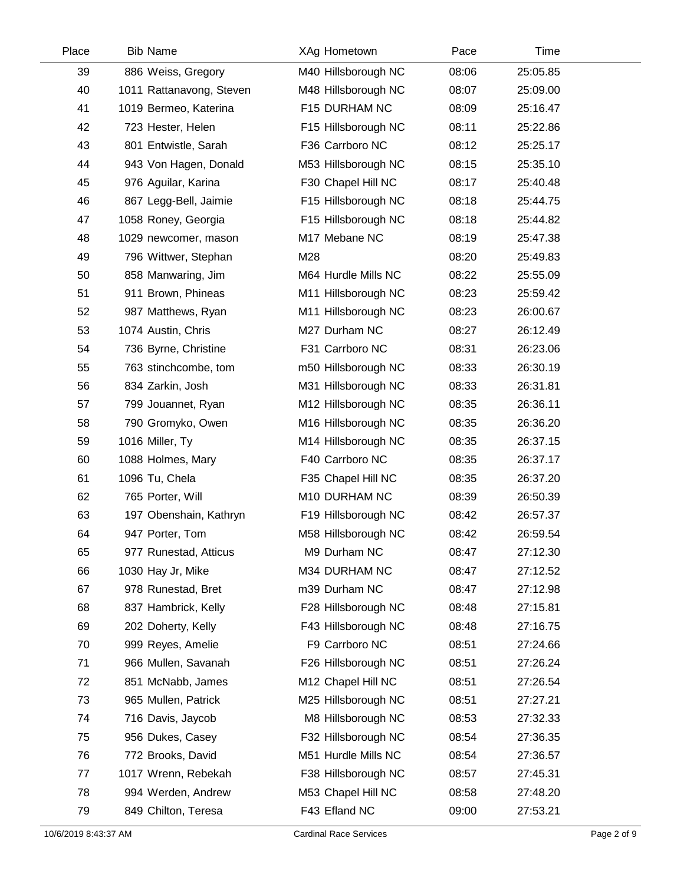| Place | <b>Bib Name</b>          | XAg Hometown        | Pace  | Time     |  |
|-------|--------------------------|---------------------|-------|----------|--|
| 39    | 886 Weiss, Gregory       | M40 Hillsborough NC | 08:06 | 25:05.85 |  |
| 40    | 1011 Rattanavong, Steven | M48 Hillsborough NC | 08:07 | 25:09.00 |  |
| 41    | 1019 Bermeo, Katerina    | F15 DURHAM NC       | 08:09 | 25:16.47 |  |
| 42    | 723 Hester, Helen        | F15 Hillsborough NC | 08:11 | 25:22.86 |  |
| 43    | 801 Entwistle, Sarah     | F36 Carrboro NC     | 08:12 | 25:25.17 |  |
| 44    | 943 Von Hagen, Donald    | M53 Hillsborough NC | 08:15 | 25:35.10 |  |
| 45    | 976 Aguilar, Karina      | F30 Chapel Hill NC  | 08:17 | 25:40.48 |  |
| 46    | 867 Legg-Bell, Jaimie    | F15 Hillsborough NC | 08:18 | 25:44.75 |  |
| 47    | 1058 Roney, Georgia      | F15 Hillsborough NC | 08:18 | 25:44.82 |  |
| 48    | 1029 newcomer, mason     | M17 Mebane NC       | 08:19 | 25:47.38 |  |
| 49    | 796 Wittwer, Stephan     | M28                 | 08:20 | 25:49.83 |  |
| 50    | 858 Manwaring, Jim       | M64 Hurdle Mills NC | 08:22 | 25:55.09 |  |
| 51    | 911 Brown, Phineas       | M11 Hillsborough NC | 08:23 | 25:59.42 |  |
| 52    | 987 Matthews, Ryan       | M11 Hillsborough NC | 08:23 | 26:00.67 |  |
| 53    | 1074 Austin, Chris       | M27 Durham NC       | 08:27 | 26:12.49 |  |
| 54    | 736 Byrne, Christine     | F31 Carrboro NC     | 08:31 | 26:23.06 |  |
| 55    | 763 stinchcombe, tom     | m50 Hillsborough NC | 08:33 | 26:30.19 |  |
| 56    | 834 Zarkin, Josh         | M31 Hillsborough NC | 08:33 | 26:31.81 |  |
| 57    | 799 Jouannet, Ryan       | M12 Hillsborough NC | 08:35 | 26:36.11 |  |
| 58    | 790 Gromyko, Owen        | M16 Hillsborough NC | 08:35 | 26:36.20 |  |
| 59    | 1016 Miller, Ty          | M14 Hillsborough NC | 08:35 | 26:37.15 |  |
| 60    | 1088 Holmes, Mary        | F40 Carrboro NC     | 08:35 | 26:37.17 |  |
| 61    | 1096 Tu, Chela           | F35 Chapel Hill NC  | 08:35 | 26:37.20 |  |
| 62    | 765 Porter, Will         | M10 DURHAM NC       | 08:39 | 26:50.39 |  |
| 63    | 197 Obenshain, Kathryn   | F19 Hillsborough NC | 08:42 | 26:57.37 |  |
| 64    | 947 Porter, Tom          | M58 Hillsborough NC | 08:42 | 26:59.54 |  |
| 65    | 977 Runestad, Atticus    | M9 Durham NC        | 08:47 | 27:12.30 |  |
| 66    | 1030 Hay Jr, Mike        | M34 DURHAM NC       | 08:47 | 27:12.52 |  |
| 67    | 978 Runestad, Bret       | m39 Durham NC       | 08:47 | 27:12.98 |  |
| 68    | 837 Hambrick, Kelly      | F28 Hillsborough NC | 08:48 | 27:15.81 |  |
| 69    | 202 Doherty, Kelly       | F43 Hillsborough NC | 08:48 | 27:16.75 |  |
| 70    | 999 Reyes, Amelie        | F9 Carrboro NC      | 08:51 | 27:24.66 |  |
| 71    | 966 Mullen, Savanah      | F26 Hillsborough NC | 08:51 | 27:26.24 |  |
| 72    | 851 McNabb, James        | M12 Chapel Hill NC  | 08:51 | 27:26.54 |  |
| 73    | 965 Mullen, Patrick      | M25 Hillsborough NC | 08:51 | 27:27.21 |  |
| 74    | 716 Davis, Jaycob        | M8 Hillsborough NC  | 08:53 | 27:32.33 |  |
| 75    | 956 Dukes, Casey         | F32 Hillsborough NC | 08:54 | 27:36.35 |  |
| 76    | 772 Brooks, David        | M51 Hurdle Mills NC | 08:54 | 27:36.57 |  |
| 77    | 1017 Wrenn, Rebekah      | F38 Hillsborough NC | 08:57 | 27:45.31 |  |
| 78    | 994 Werden, Andrew       | M53 Chapel Hill NC  | 08:58 | 27:48.20 |  |
| 79    | 849 Chilton, Teresa      | F43 Efland NC       | 09:00 | 27:53.21 |  |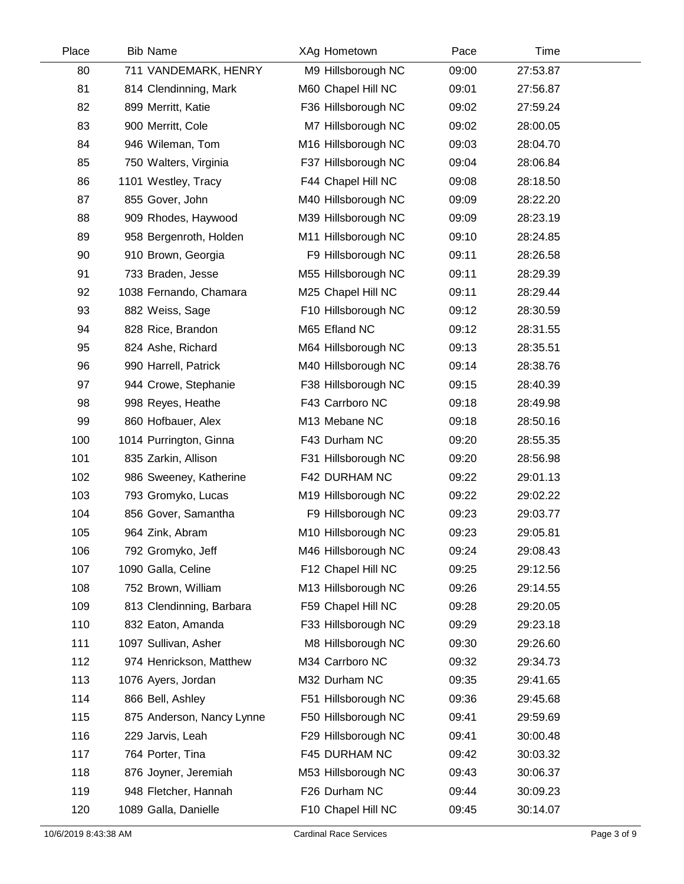| Place | <b>Bib Name</b>           | XAg Hometown        | Pace  | Time     |  |
|-------|---------------------------|---------------------|-------|----------|--|
| 80    | 711 VANDEMARK, HENRY      | M9 Hillsborough NC  | 09:00 | 27:53.87 |  |
| 81    | 814 Clendinning, Mark     | M60 Chapel Hill NC  | 09:01 | 27:56.87 |  |
| 82    | 899 Merritt, Katie        | F36 Hillsborough NC | 09:02 | 27:59.24 |  |
| 83    | 900 Merritt, Cole         | M7 Hillsborough NC  | 09:02 | 28:00.05 |  |
| 84    | 946 Wileman, Tom          | M16 Hillsborough NC | 09:03 | 28:04.70 |  |
| 85    | 750 Walters, Virginia     | F37 Hillsborough NC | 09:04 | 28:06.84 |  |
| 86    | 1101 Westley, Tracy       | F44 Chapel Hill NC  | 09:08 | 28:18.50 |  |
| 87    | 855 Gover, John           | M40 Hillsborough NC | 09:09 | 28:22.20 |  |
| 88    | 909 Rhodes, Haywood       | M39 Hillsborough NC | 09:09 | 28:23.19 |  |
| 89    | 958 Bergenroth, Holden    | M11 Hillsborough NC | 09:10 | 28:24.85 |  |
| 90    | 910 Brown, Georgia        | F9 Hillsborough NC  | 09:11 | 28:26.58 |  |
| 91    | 733 Braden, Jesse         | M55 Hillsborough NC | 09:11 | 28:29.39 |  |
| 92    | 1038 Fernando, Chamara    | M25 Chapel Hill NC  | 09:11 | 28:29.44 |  |
| 93    | 882 Weiss, Sage           | F10 Hillsborough NC | 09:12 | 28:30.59 |  |
| 94    | 828 Rice, Brandon         | M65 Efland NC       | 09:12 | 28:31.55 |  |
| 95    | 824 Ashe, Richard         | M64 Hillsborough NC | 09:13 | 28:35.51 |  |
| 96    | 990 Harrell, Patrick      | M40 Hillsborough NC | 09:14 | 28:38.76 |  |
| 97    | 944 Crowe, Stephanie      | F38 Hillsborough NC | 09:15 | 28:40.39 |  |
| 98    | 998 Reyes, Heathe         | F43 Carrboro NC     | 09:18 | 28:49.98 |  |
| 99    | 860 Hofbauer, Alex        | M13 Mebane NC       | 09:18 | 28:50.16 |  |
| 100   | 1014 Purrington, Ginna    | F43 Durham NC       | 09:20 | 28:55.35 |  |
| 101   | 835 Zarkin, Allison       | F31 Hillsborough NC | 09:20 | 28:56.98 |  |
| 102   | 986 Sweeney, Katherine    | F42 DURHAM NC       | 09:22 | 29:01.13 |  |
| 103   | 793 Gromyko, Lucas        | M19 Hillsborough NC | 09:22 | 29:02.22 |  |
| 104   | 856 Gover, Samantha       | F9 Hillsborough NC  | 09:23 | 29:03.77 |  |
| 105   | 964 Zink, Abram           | M10 Hillsborough NC | 09:23 | 29:05.81 |  |
| 106   | 792 Gromyko, Jeff         | M46 Hillsborough NC | 09:24 | 29:08.43 |  |
| 107   | 1090 Galla, Celine        | F12 Chapel Hill NC  | 09:25 | 29:12.56 |  |
| 108   | 752 Brown, William        | M13 Hillsborough NC | 09:26 | 29:14.55 |  |
| 109   | 813 Clendinning, Barbara  | F59 Chapel Hill NC  | 09:28 | 29:20.05 |  |
| 110   | 832 Eaton, Amanda         | F33 Hillsborough NC | 09:29 | 29:23.18 |  |
| 111   | 1097 Sullivan, Asher      | M8 Hillsborough NC  | 09:30 | 29:26.60 |  |
| 112   | 974 Henrickson, Matthew   | M34 Carrboro NC     | 09:32 | 29:34.73 |  |
| 113   | 1076 Ayers, Jordan        | M32 Durham NC       | 09:35 | 29:41.65 |  |
| 114   | 866 Bell, Ashley          | F51 Hillsborough NC | 09:36 | 29:45.68 |  |
| 115   | 875 Anderson, Nancy Lynne | F50 Hillsborough NC | 09:41 | 29:59.69 |  |
| 116   | 229 Jarvis, Leah          | F29 Hillsborough NC | 09:41 | 30:00.48 |  |
| 117   | 764 Porter, Tina          | F45 DURHAM NC       | 09:42 | 30:03.32 |  |
| 118   | 876 Joyner, Jeremiah      | M53 Hillsborough NC | 09:43 | 30:06.37 |  |
| 119   | 948 Fletcher, Hannah      | F26 Durham NC       | 09:44 | 30:09.23 |  |
| 120   | 1089 Galla, Danielle      | F10 Chapel Hill NC  | 09:45 | 30:14.07 |  |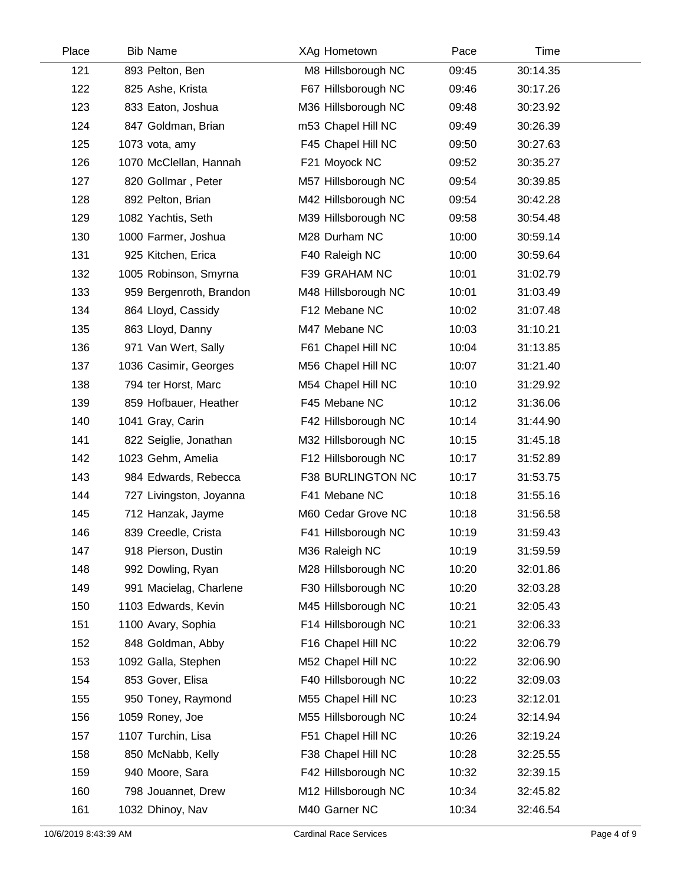| Place | <b>Bib Name</b>         | XAg Hometown        | Pace  | Time     |  |
|-------|-------------------------|---------------------|-------|----------|--|
| 121   | 893 Pelton, Ben         | M8 Hillsborough NC  | 09:45 | 30:14.35 |  |
| 122   | 825 Ashe, Krista        | F67 Hillsborough NC | 09:46 | 30:17.26 |  |
| 123   | 833 Eaton, Joshua       | M36 Hillsborough NC | 09:48 | 30:23.92 |  |
| 124   | 847 Goldman, Brian      | m53 Chapel Hill NC  | 09:49 | 30:26.39 |  |
| 125   | 1073 vota, amy          | F45 Chapel Hill NC  | 09:50 | 30:27.63 |  |
| 126   | 1070 McClellan, Hannah  | F21 Moyock NC       | 09:52 | 30:35.27 |  |
| 127   | 820 Gollmar, Peter      | M57 Hillsborough NC | 09:54 | 30:39.85 |  |
| 128   | 892 Pelton, Brian       | M42 Hillsborough NC | 09:54 | 30:42.28 |  |
| 129   | 1082 Yachtis, Seth      | M39 Hillsborough NC | 09:58 | 30:54.48 |  |
| 130   | 1000 Farmer, Joshua     | M28 Durham NC       | 10:00 | 30:59.14 |  |
| 131   | 925 Kitchen, Erica      | F40 Raleigh NC      | 10:00 | 30:59.64 |  |
| 132   | 1005 Robinson, Smyrna   | F39 GRAHAM NC       | 10:01 | 31:02.79 |  |
| 133   | 959 Bergenroth, Brandon | M48 Hillsborough NC | 10:01 | 31:03.49 |  |
| 134   | 864 Lloyd, Cassidy      | F12 Mebane NC       | 10:02 | 31:07.48 |  |
| 135   | 863 Lloyd, Danny        | M47 Mebane NC       | 10:03 | 31:10.21 |  |
| 136   | 971 Van Wert, Sally     | F61 Chapel Hill NC  | 10:04 | 31:13.85 |  |
| 137   | 1036 Casimir, Georges   | M56 Chapel Hill NC  | 10:07 | 31:21.40 |  |
| 138   | 794 ter Horst, Marc     | M54 Chapel Hill NC  | 10:10 | 31:29.92 |  |
| 139   | 859 Hofbauer, Heather   | F45 Mebane NC       | 10:12 | 31:36.06 |  |
| 140   | 1041 Gray, Carin        | F42 Hillsborough NC | 10:14 | 31:44.90 |  |
| 141   | 822 Seiglie, Jonathan   | M32 Hillsborough NC | 10:15 | 31:45.18 |  |
| 142   | 1023 Gehm, Amelia       | F12 Hillsborough NC | 10:17 | 31:52.89 |  |
| 143   | 984 Edwards, Rebecca    | F38 BURLINGTON NC   | 10:17 | 31:53.75 |  |
| 144   | 727 Livingston, Joyanna | F41 Mebane NC       | 10:18 | 31:55.16 |  |
| 145   | 712 Hanzak, Jayme       | M60 Cedar Grove NC  | 10:18 | 31:56.58 |  |
| 146   | 839 Creedle, Crista     | F41 Hillsborough NC | 10:19 | 31:59.43 |  |
| 147   | 918 Pierson, Dustin     | M36 Raleigh NC      | 10:19 | 31:59.59 |  |
| 148   | 992 Dowling, Ryan       | M28 Hillsborough NC | 10:20 | 32:01.86 |  |
| 149   | 991 Macielag, Charlene  | F30 Hillsborough NC | 10:20 | 32:03.28 |  |
| 150   | 1103 Edwards, Kevin     | M45 Hillsborough NC | 10:21 | 32:05.43 |  |
| 151   | 1100 Avary, Sophia      | F14 Hillsborough NC | 10:21 | 32:06.33 |  |
| 152   | 848 Goldman, Abby       | F16 Chapel Hill NC  | 10:22 | 32:06.79 |  |
| 153   | 1092 Galla, Stephen     | M52 Chapel Hill NC  | 10:22 | 32:06.90 |  |
| 154   | 853 Gover, Elisa        | F40 Hillsborough NC | 10:22 | 32:09.03 |  |
| 155   | 950 Toney, Raymond      | M55 Chapel Hill NC  | 10:23 | 32:12.01 |  |
| 156   | 1059 Roney, Joe         | M55 Hillsborough NC | 10:24 | 32:14.94 |  |
| 157   | 1107 Turchin, Lisa      | F51 Chapel Hill NC  | 10:26 | 32:19.24 |  |
| 158   | 850 McNabb, Kelly       | F38 Chapel Hill NC  | 10:28 | 32:25.55 |  |
| 159   | 940 Moore, Sara         | F42 Hillsborough NC | 10:32 | 32:39.15 |  |
| 160   | 798 Jouannet, Drew      | M12 Hillsborough NC | 10:34 | 32:45.82 |  |
| 161   | 1032 Dhinoy, Nav        | M40 Garner NC       | 10:34 | 32:46.54 |  |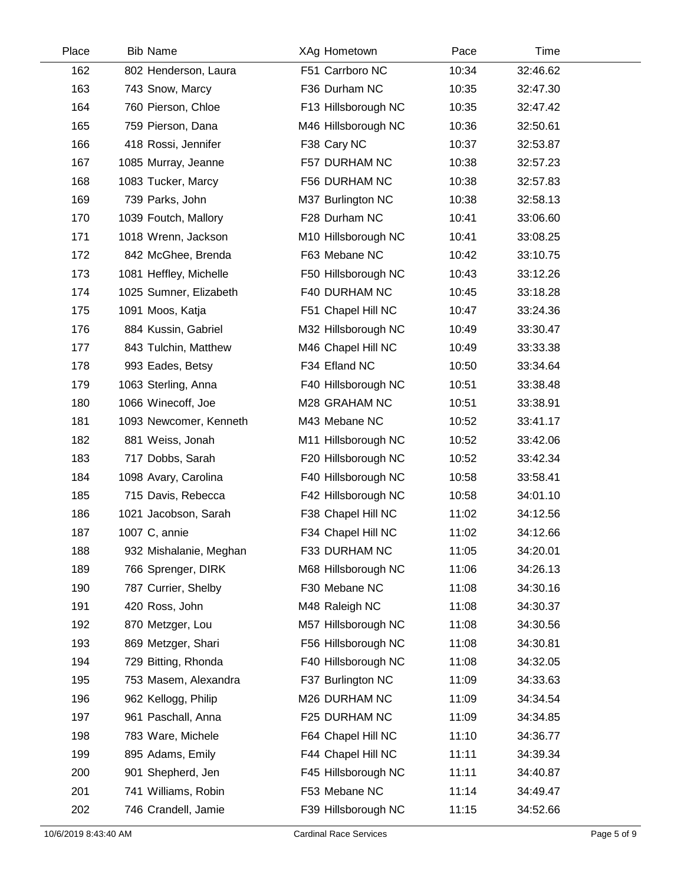| Place | <b>Bib Name</b>        | XAg Hometown        | Pace  | Time     |  |
|-------|------------------------|---------------------|-------|----------|--|
| 162   | 802 Henderson, Laura   | F51 Carrboro NC     | 10:34 | 32:46.62 |  |
| 163   | 743 Snow, Marcy        | F36 Durham NC       | 10:35 | 32:47.30 |  |
| 164   | 760 Pierson, Chloe     | F13 Hillsborough NC | 10:35 | 32:47.42 |  |
| 165   | 759 Pierson, Dana      | M46 Hillsborough NC | 10:36 | 32:50.61 |  |
| 166   | 418 Rossi, Jennifer    | F38 Cary NC         | 10:37 | 32:53.87 |  |
| 167   | 1085 Murray, Jeanne    | F57 DURHAM NC       | 10:38 | 32:57.23 |  |
| 168   | 1083 Tucker, Marcy     | F56 DURHAM NC       | 10:38 | 32:57.83 |  |
| 169   | 739 Parks, John        | M37 Burlington NC   | 10:38 | 32:58.13 |  |
| 170   | 1039 Foutch, Mallory   | F28 Durham NC       | 10:41 | 33:06.60 |  |
| 171   | 1018 Wrenn, Jackson    | M10 Hillsborough NC | 10:41 | 33:08.25 |  |
| 172   | 842 McGhee, Brenda     | F63 Mebane NC       | 10:42 | 33:10.75 |  |
| 173   | 1081 Heffley, Michelle | F50 Hillsborough NC | 10:43 | 33:12.26 |  |
| 174   | 1025 Sumner, Elizabeth | F40 DURHAM NC       | 10:45 | 33:18.28 |  |
| 175   | 1091 Moos, Katja       | F51 Chapel Hill NC  | 10:47 | 33:24.36 |  |
| 176   | 884 Kussin, Gabriel    | M32 Hillsborough NC | 10:49 | 33:30.47 |  |
| 177   | 843 Tulchin, Matthew   | M46 Chapel Hill NC  | 10:49 | 33:33.38 |  |
| 178   | 993 Eades, Betsy       | F34 Efland NC       | 10:50 | 33:34.64 |  |
| 179   | 1063 Sterling, Anna    | F40 Hillsborough NC | 10:51 | 33:38.48 |  |
| 180   | 1066 Winecoff, Joe     | M28 GRAHAM NC       | 10:51 | 33:38.91 |  |
| 181   | 1093 Newcomer, Kenneth | M43 Mebane NC       | 10:52 | 33:41.17 |  |
| 182   | 881 Weiss, Jonah       | M11 Hillsborough NC | 10:52 | 33:42.06 |  |
| 183   | 717 Dobbs, Sarah       | F20 Hillsborough NC | 10:52 | 33:42.34 |  |
| 184   | 1098 Avary, Carolina   | F40 Hillsborough NC | 10:58 | 33:58.41 |  |
| 185   | 715 Davis, Rebecca     | F42 Hillsborough NC | 10:58 | 34:01.10 |  |
| 186   | 1021 Jacobson, Sarah   | F38 Chapel Hill NC  | 11:02 | 34:12.56 |  |
| 187   | 1007 C, annie          | F34 Chapel Hill NC  | 11:02 | 34:12.66 |  |
| 188   | 932 Mishalanie, Meghan | F33 DURHAM NC       | 11:05 | 34:20.01 |  |
| 189   | 766 Sprenger, DIRK     | M68 Hillsborough NC | 11:06 | 34:26.13 |  |
| 190   | 787 Currier, Shelby    | F30 Mebane NC       | 11:08 | 34:30.16 |  |
| 191   | 420 Ross, John         | M48 Raleigh NC      | 11:08 | 34:30.37 |  |
| 192   | 870 Metzger, Lou       | M57 Hillsborough NC | 11:08 | 34:30.56 |  |
| 193   | 869 Metzger, Shari     | F56 Hillsborough NC | 11:08 | 34:30.81 |  |
| 194   | 729 Bitting, Rhonda    | F40 Hillsborough NC | 11:08 | 34:32.05 |  |
| 195   | 753 Masem, Alexandra   | F37 Burlington NC   | 11:09 | 34:33.63 |  |
| 196   | 962 Kellogg, Philip    | M26 DURHAM NC       | 11:09 | 34:34.54 |  |
| 197   | 961 Paschall, Anna     | F25 DURHAM NC       | 11:09 | 34:34.85 |  |
| 198   | 783 Ware, Michele      | F64 Chapel Hill NC  | 11:10 | 34:36.77 |  |
| 199   | 895 Adams, Emily       | F44 Chapel Hill NC  | 11:11 | 34:39.34 |  |
| 200   | 901 Shepherd, Jen      | F45 Hillsborough NC | 11:11 | 34:40.87 |  |
| 201   | 741 Williams, Robin    | F53 Mebane NC       | 11:14 | 34:49.47 |  |
| 202   | 746 Crandell, Jamie    | F39 Hillsborough NC | 11:15 | 34:52.66 |  |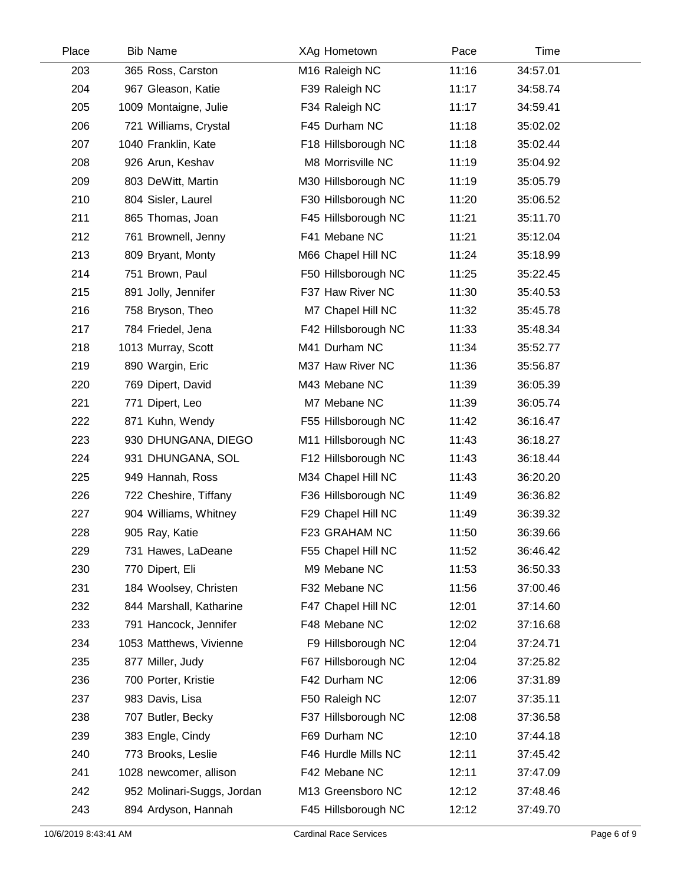| Place | <b>Bib Name</b>            | XAg Hometown        | Pace  | Time     |  |
|-------|----------------------------|---------------------|-------|----------|--|
| 203   | 365 Ross, Carston          | M16 Raleigh NC      | 11:16 | 34:57.01 |  |
| 204   | 967 Gleason, Katie         | F39 Raleigh NC      | 11:17 | 34:58.74 |  |
| 205   | 1009 Montaigne, Julie      | F34 Raleigh NC      | 11:17 | 34:59.41 |  |
| 206   | 721 Williams, Crystal      | F45 Durham NC       | 11:18 | 35:02.02 |  |
| 207   | 1040 Franklin, Kate        | F18 Hillsborough NC | 11:18 | 35:02.44 |  |
| 208   | 926 Arun, Keshav           | M8 Morrisville NC   | 11:19 | 35:04.92 |  |
| 209   | 803 DeWitt, Martin         | M30 Hillsborough NC | 11:19 | 35:05.79 |  |
| 210   | 804 Sisler, Laurel         | F30 Hillsborough NC | 11:20 | 35:06.52 |  |
| 211   | 865 Thomas, Joan           | F45 Hillsborough NC | 11:21 | 35:11.70 |  |
| 212   | 761 Brownell, Jenny        | F41 Mebane NC       | 11:21 | 35:12.04 |  |
| 213   | 809 Bryant, Monty          | M66 Chapel Hill NC  | 11:24 | 35:18.99 |  |
| 214   | 751 Brown, Paul            | F50 Hillsborough NC | 11:25 | 35:22.45 |  |
| 215   | 891 Jolly, Jennifer        | F37 Haw River NC    | 11:30 | 35:40.53 |  |
| 216   | 758 Bryson, Theo           | M7 Chapel Hill NC   | 11:32 | 35:45.78 |  |
| 217   | 784 Friedel, Jena          | F42 Hillsborough NC | 11:33 | 35:48.34 |  |
| 218   | 1013 Murray, Scott         | M41 Durham NC       | 11:34 | 35:52.77 |  |
| 219   | 890 Wargin, Eric           | M37 Haw River NC    | 11:36 | 35:56.87 |  |
| 220   | 769 Dipert, David          | M43 Mebane NC       | 11:39 | 36:05.39 |  |
| 221   | 771 Dipert, Leo            | M7 Mebane NC        | 11:39 | 36:05.74 |  |
| 222   | 871 Kuhn, Wendy            | F55 Hillsborough NC | 11:42 | 36:16.47 |  |
| 223   | 930 DHUNGANA, DIEGO        | M11 Hillsborough NC | 11:43 | 36:18.27 |  |
| 224   | 931 DHUNGANA, SOL          | F12 Hillsborough NC | 11:43 | 36:18.44 |  |
| 225   | 949 Hannah, Ross           | M34 Chapel Hill NC  | 11:43 | 36:20.20 |  |
| 226   | 722 Cheshire, Tiffany      | F36 Hillsborough NC | 11:49 | 36:36.82 |  |
| 227   | 904 Williams, Whitney      | F29 Chapel Hill NC  | 11:49 | 36:39.32 |  |
| 228   | 905 Ray, Katie             | F23 GRAHAM NC       | 11:50 | 36:39.66 |  |
| 229   | 731 Hawes, LaDeane         | F55 Chapel Hill NC  | 11:52 | 36:46.42 |  |
| 230   | 770 Dipert, Eli            | M9 Mebane NC        | 11:53 | 36:50.33 |  |
| 231   | 184 Woolsey, Christen      | F32 Mebane NC       | 11:56 | 37:00.46 |  |
| 232   | 844 Marshall, Katharine    | F47 Chapel Hill NC  | 12:01 | 37:14.60 |  |
| 233   | 791 Hancock, Jennifer      | F48 Mebane NC       | 12:02 | 37:16.68 |  |
| 234   | 1053 Matthews, Vivienne    | F9 Hillsborough NC  | 12:04 | 37:24.71 |  |
| 235   | 877 Miller, Judy           | F67 Hillsborough NC | 12:04 | 37:25.82 |  |
| 236   | 700 Porter, Kristie        | F42 Durham NC       | 12:06 | 37:31.89 |  |
| 237   | 983 Davis, Lisa            | F50 Raleigh NC      | 12:07 | 37:35.11 |  |
| 238   | 707 Butler, Becky          | F37 Hillsborough NC | 12:08 | 37:36.58 |  |
| 239   | 383 Engle, Cindy           | F69 Durham NC       | 12:10 | 37:44.18 |  |
| 240   | 773 Brooks, Leslie         | F46 Hurdle Mills NC | 12:11 | 37:45.42 |  |
| 241   | 1028 newcomer, allison     | F42 Mebane NC       | 12:11 | 37:47.09 |  |
| 242   | 952 Molinari-Suggs, Jordan | M13 Greensboro NC   | 12:12 | 37:48.46 |  |
| 243   | 894 Ardyson, Hannah        | F45 Hillsborough NC | 12:12 | 37:49.70 |  |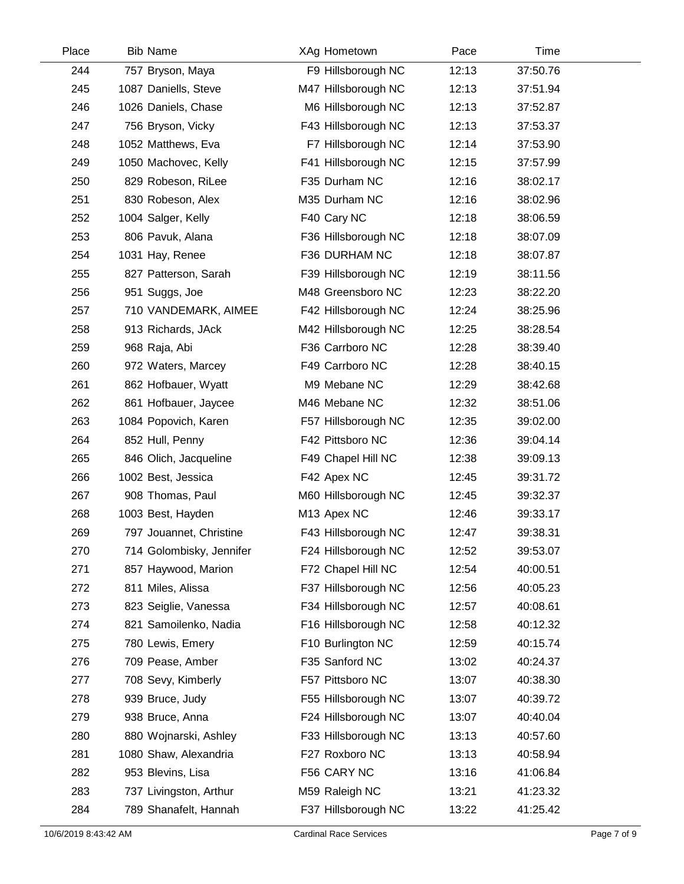| Place | <b>Bib Name</b>          | XAg Hometown        | Pace  | Time     |  |
|-------|--------------------------|---------------------|-------|----------|--|
| 244   | 757 Bryson, Maya         | F9 Hillsborough NC  | 12:13 | 37:50.76 |  |
| 245   | 1087 Daniells, Steve     | M47 Hillsborough NC | 12:13 | 37:51.94 |  |
| 246   | 1026 Daniels, Chase      | M6 Hillsborough NC  | 12:13 | 37:52.87 |  |
| 247   | 756 Bryson, Vicky        | F43 Hillsborough NC | 12:13 | 37:53.37 |  |
| 248   | 1052 Matthews, Eva       | F7 Hillsborough NC  | 12:14 | 37:53.90 |  |
| 249   | 1050 Machovec, Kelly     | F41 Hillsborough NC | 12:15 | 37:57.99 |  |
| 250   | 829 Robeson, RiLee       | F35 Durham NC       | 12:16 | 38:02.17 |  |
| 251   | 830 Robeson, Alex        | M35 Durham NC       | 12:16 | 38:02.96 |  |
| 252   | 1004 Salger, Kelly       | F40 Cary NC         | 12:18 | 38:06.59 |  |
| 253   | 806 Pavuk, Alana         | F36 Hillsborough NC | 12:18 | 38:07.09 |  |
| 254   | 1031 Hay, Renee          | F36 DURHAM NC       | 12:18 | 38:07.87 |  |
| 255   | 827 Patterson, Sarah     | F39 Hillsborough NC | 12:19 | 38:11.56 |  |
| 256   | 951 Suggs, Joe           | M48 Greensboro NC   | 12:23 | 38:22.20 |  |
| 257   | 710 VANDEMARK, AIMEE     | F42 Hillsborough NC | 12:24 | 38:25.96 |  |
| 258   | 913 Richards, JAck       | M42 Hillsborough NC | 12:25 | 38:28.54 |  |
| 259   | 968 Raja, Abi            | F36 Carrboro NC     | 12:28 | 38:39.40 |  |
| 260   | 972 Waters, Marcey       | F49 Carrboro NC     | 12:28 | 38:40.15 |  |
| 261   | 862 Hofbauer, Wyatt      | M9 Mebane NC        | 12:29 | 38:42.68 |  |
| 262   | 861 Hofbauer, Jaycee     | M46 Mebane NC       | 12:32 | 38:51.06 |  |
| 263   | 1084 Popovich, Karen     | F57 Hillsborough NC | 12:35 | 39:02.00 |  |
| 264   | 852 Hull, Penny          | F42 Pittsboro NC    | 12:36 | 39:04.14 |  |
| 265   | 846 Olich, Jacqueline    | F49 Chapel Hill NC  | 12:38 | 39:09.13 |  |
| 266   | 1002 Best, Jessica       | F42 Apex NC         | 12:45 | 39:31.72 |  |
| 267   | 908 Thomas, Paul         | M60 Hillsborough NC | 12:45 | 39:32.37 |  |
| 268   | 1003 Best, Hayden        | M13 Apex NC         | 12:46 | 39:33.17 |  |
| 269   | 797 Jouannet, Christine  | F43 Hillsborough NC | 12:47 | 39:38.31 |  |
| 270   | 714 Golombisky, Jennifer | F24 Hillsborough NC | 12:52 | 39:53.07 |  |
| 271   | 857 Haywood, Marion      | F72 Chapel Hill NC  | 12:54 | 40:00.51 |  |
| 272   | 811 Miles, Alissa        | F37 Hillsborough NC | 12:56 | 40:05.23 |  |
| 273   | 823 Seiglie, Vanessa     | F34 Hillsborough NC | 12:57 | 40:08.61 |  |
| 274   | 821 Samoilenko, Nadia    | F16 Hillsborough NC | 12:58 | 40:12.32 |  |
| 275   | 780 Lewis, Emery         | F10 Burlington NC   | 12:59 | 40:15.74 |  |
| 276   | 709 Pease, Amber         | F35 Sanford NC      | 13:02 | 40:24.37 |  |
| 277   | 708 Sevy, Kimberly       | F57 Pittsboro NC    | 13:07 | 40:38.30 |  |
| 278   | 939 Bruce, Judy          | F55 Hillsborough NC | 13:07 | 40:39.72 |  |
| 279   | 938 Bruce, Anna          | F24 Hillsborough NC | 13:07 | 40:40.04 |  |
| 280   | 880 Wojnarski, Ashley    | F33 Hillsborough NC | 13:13 | 40:57.60 |  |
| 281   | 1080 Shaw, Alexandria    | F27 Roxboro NC      | 13:13 | 40:58.94 |  |
| 282   | 953 Blevins, Lisa        | F56 CARY NC         | 13:16 | 41:06.84 |  |
| 283   | 737 Livingston, Arthur   | M59 Raleigh NC      | 13:21 | 41:23.32 |  |
| 284   | 789 Shanafelt, Hannah    | F37 Hillsborough NC | 13:22 | 41:25.42 |  |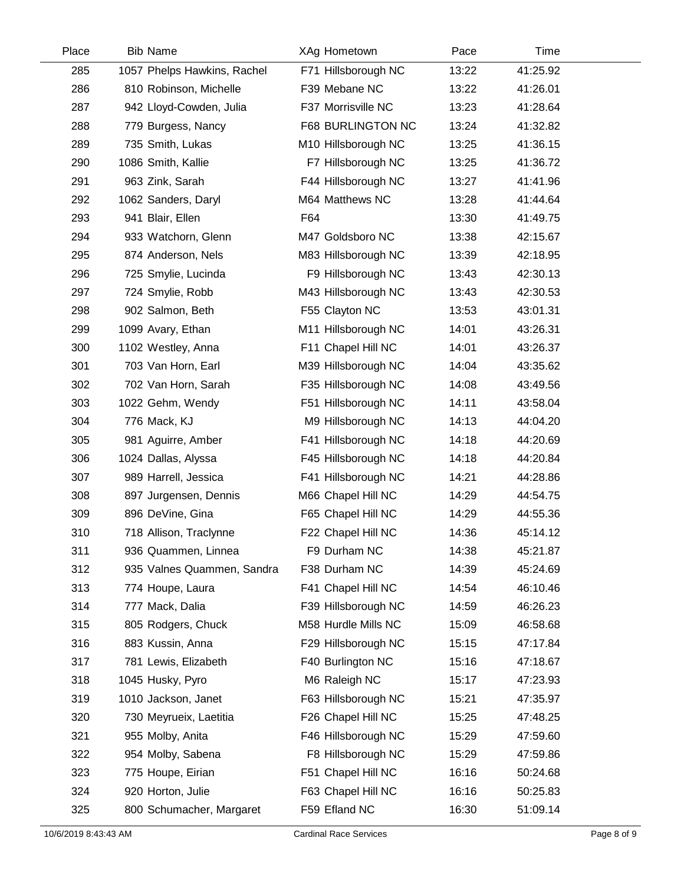| Place | <b>Bib Name</b>             | XAg Hometown        | Pace  | Time     |  |
|-------|-----------------------------|---------------------|-------|----------|--|
| 285   | 1057 Phelps Hawkins, Rachel | F71 Hillsborough NC | 13:22 | 41:25.92 |  |
| 286   | 810 Robinson, Michelle      | F39 Mebane NC       | 13:22 | 41:26.01 |  |
| 287   | 942 Lloyd-Cowden, Julia     | F37 Morrisville NC  | 13:23 | 41:28.64 |  |
| 288   | 779 Burgess, Nancy          | F68 BURLINGTON NC   | 13:24 | 41:32.82 |  |
| 289   | 735 Smith, Lukas            | M10 Hillsborough NC | 13:25 | 41:36.15 |  |
| 290   | 1086 Smith, Kallie          | F7 Hillsborough NC  | 13:25 | 41:36.72 |  |
| 291   | 963 Zink, Sarah             | F44 Hillsborough NC | 13:27 | 41:41.96 |  |
| 292   | 1062 Sanders, Daryl         | M64 Matthews NC     | 13:28 | 41:44.64 |  |
| 293   | 941 Blair, Ellen            | F64                 | 13:30 | 41:49.75 |  |
| 294   | 933 Watchorn, Glenn         | M47 Goldsboro NC    | 13:38 | 42:15.67 |  |
| 295   | 874 Anderson, Nels          | M83 Hillsborough NC | 13:39 | 42:18.95 |  |
| 296   | 725 Smylie, Lucinda         | F9 Hillsborough NC  | 13:43 | 42:30.13 |  |
| 297   | 724 Smylie, Robb            | M43 Hillsborough NC | 13:43 | 42:30.53 |  |
| 298   | 902 Salmon, Beth            | F55 Clayton NC      | 13:53 | 43:01.31 |  |
| 299   | 1099 Avary, Ethan           | M11 Hillsborough NC | 14:01 | 43:26.31 |  |
| 300   | 1102 Westley, Anna          | F11 Chapel Hill NC  | 14:01 | 43:26.37 |  |
| 301   | 703 Van Horn, Earl          | M39 Hillsborough NC | 14:04 | 43:35.62 |  |
| 302   | 702 Van Horn, Sarah         | F35 Hillsborough NC | 14:08 | 43:49.56 |  |
| 303   | 1022 Gehm, Wendy            | F51 Hillsborough NC | 14:11 | 43:58.04 |  |
| 304   | 776 Mack, KJ                | M9 Hillsborough NC  | 14:13 | 44:04.20 |  |
| 305   | 981 Aguirre, Amber          | F41 Hillsborough NC | 14:18 | 44:20.69 |  |
| 306   | 1024 Dallas, Alyssa         | F45 Hillsborough NC | 14:18 | 44:20.84 |  |
| 307   | 989 Harrell, Jessica        | F41 Hillsborough NC | 14:21 | 44:28.86 |  |
| 308   | 897 Jurgensen, Dennis       | M66 Chapel Hill NC  | 14:29 | 44:54.75 |  |
| 309   | 896 DeVine, Gina            | F65 Chapel Hill NC  | 14:29 | 44:55.36 |  |
| 310   | 718 Allison, Traclynne      | F22 Chapel Hill NC  | 14:36 | 45:14.12 |  |
| 311   | 936 Quammen, Linnea         | F9 Durham NC        | 14:38 | 45:21.87 |  |
| 312   | 935 Valnes Quammen, Sandra  | F38 Durham NC       | 14:39 | 45:24.69 |  |
| 313   | 774 Houpe, Laura            | F41 Chapel Hill NC  | 14:54 | 46:10.46 |  |
| 314   | 777 Mack, Dalia             | F39 Hillsborough NC | 14:59 | 46:26.23 |  |
| 315   | 805 Rodgers, Chuck          | M58 Hurdle Mills NC | 15:09 | 46:58.68 |  |
| 316   | 883 Kussin, Anna            | F29 Hillsborough NC | 15:15 | 47:17.84 |  |
| 317   | 781 Lewis, Elizabeth        | F40 Burlington NC   | 15:16 | 47:18.67 |  |
| 318   | 1045 Husky, Pyro            | M6 Raleigh NC       | 15:17 | 47:23.93 |  |
| 319   | 1010 Jackson, Janet         | F63 Hillsborough NC | 15:21 | 47:35.97 |  |
| 320   | 730 Meyrueix, Laetitia      | F26 Chapel Hill NC  | 15:25 | 47:48.25 |  |
| 321   | 955 Molby, Anita            | F46 Hillsborough NC | 15:29 | 47:59.60 |  |
| 322   | 954 Molby, Sabena           | F8 Hillsborough NC  | 15:29 | 47:59.86 |  |
| 323   | 775 Houpe, Eirian           | F51 Chapel Hill NC  | 16:16 | 50:24.68 |  |
| 324   | 920 Horton, Julie           | F63 Chapel Hill NC  | 16:16 | 50:25.83 |  |
| 325   | 800 Schumacher, Margaret    | F59 Efland NC       | 16:30 | 51:09.14 |  |